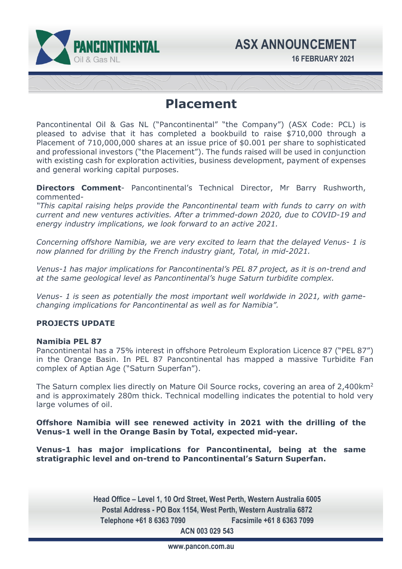**16 FEBRUARY 2021** 

**ASX ANNOUNCEMENT**



# **Placement**

Pancontinental Oil & Gas NL ("Pancontinental" "the Company") (ASX Code: PCL) is pleased to advise that it has completed a bookbuild to raise \$710,000 through a Placement of 710,000,000 shares at an issue price of \$0.001 per share to sophisticated and professional investors ("the Placement"). The funds raised will be used in conjunction with existing cash for exploration activities, business development, payment of expenses and general working capital purposes.

**Directors Comment**- Pancontinental's Technical Director, Mr Barry Rushworth, commented-

*"This capital raising helps provide the Pancontinental team with funds to carry on with current and new ventures activities. After a trimmed-down 2020, due to COVID-19 and energy industry implications, we look forward to an active 2021.* 

*Concerning offshore Namibia, we are very excited to learn that the delayed Venus- 1 is now planned for drilling by the French industry giant, Total, in mid-2021.* 

*Venus-1 has major implications for Pancontinental's PEL 87 project, as it is on-trend and at the same geological level as Pancontinental's huge Saturn turbidite complex.* 

*Venus- 1 is seen as potentially the most important well worldwide in 2021, with gamechanging implications for Pancontinental as well as for Namibia".* 

### **PROJECTS UPDATE**

#### **Namibia PEL 87**

Pancontinental has a 75% interest in offshore Petroleum Exploration Licence 87 ("PEL 87") in the Orange Basin. In PEL 87 Pancontinental has mapped a massive Turbidite Fan complex of Aptian Age ("Saturn Superfan").

The Saturn complex lies directly on Mature Oil Source rocks, covering an area of 2,400km<sup>2</sup> and is approximately 280m thick. Technical modelling indicates the potential to hold very large volumes of oil.

**Offshore Namibia will see renewed activity in 2021 with the drilling of the Venus-1 well in the Orange Basin by Total, expected mid-year.** 

**Venus-1 has major implications for Pancontinental, being at the same stratigraphic level and on-trend to Pancontinental's Saturn Superfan.** 

> **Head Office – Level 1, 10 Ord Street, West Perth, Western Australia 6005 Postal Address - PO Box 1154, West Perth, Western Australia 6872 Telephone +61 8 6363 7090 Facsimile +61 8 6363 7099 ACN 003 029 543**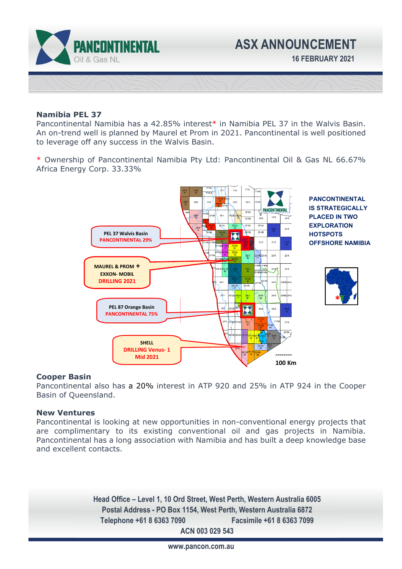

#### **Namibia PEL 37**

Pancontinental Namibia has a 42.85% interest\* in Namibia PEL 37 in the Walvis Basin. An on-trend well is planned by Maurel et Prom in 2021. Pancontinental is well positioned to leverage off any success in the Walvis Basin.

\* Ownership of Pancontinental Namibia Pty Ltd: Pancontinental Oil & Gas NL 66.67% Africa Energy Corp. 33.33%



### **Cooper Basin**

Pancontinental also has a 20% interest in ATP 920 and 25% in ATP 924 in the Cooper Basin of Queensland.

### **New Ventures**

Pancontinental is looking at new opportunities in non-conventional energy projects that are complimentary to its existing conventional oil and gas projects in Namibia. Pancontinental has a long association with Namibia and has built a deep knowledge base and excellent contacts.

> **Head Office – Level 1, 10 Ord Street, West Perth, Western Australia 6005 Postal Address - PO Box 1154, West Perth, Western Australia 6872 Telephone +61 8 6363 7090 Facsimile +61 8 6363 7099 ACN 003 029 543**